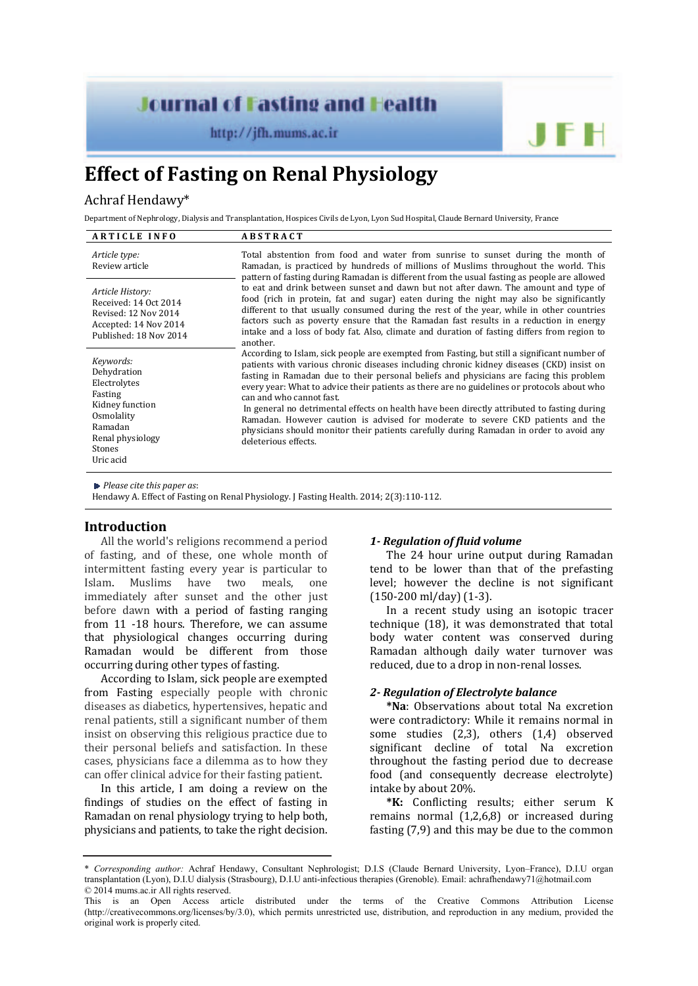# **Journal of Fasting and Health**

http://jfh.mums.ac.ir



# **Effect of Fasting on Renal Physiology**

# Achraf Hendawy\*

Department of Nephrology, Dialysis and Transplantation, Hospices Civils de Lyon, Lyon Sud Hospital, Claude Bernard University, France

| <b>ARTICLE INFO</b>                                                                                                                        | <b>ABSTRACT</b>                                                                                                                                                                                                                                                                                                                                                                                                                                                                                                                                                                                                                                                                                                                                                                                                                                                                                                                                                                                                                                                                                                                                                                                                                                                                                                                                                                                                                                                               |
|--------------------------------------------------------------------------------------------------------------------------------------------|-------------------------------------------------------------------------------------------------------------------------------------------------------------------------------------------------------------------------------------------------------------------------------------------------------------------------------------------------------------------------------------------------------------------------------------------------------------------------------------------------------------------------------------------------------------------------------------------------------------------------------------------------------------------------------------------------------------------------------------------------------------------------------------------------------------------------------------------------------------------------------------------------------------------------------------------------------------------------------------------------------------------------------------------------------------------------------------------------------------------------------------------------------------------------------------------------------------------------------------------------------------------------------------------------------------------------------------------------------------------------------------------------------------------------------------------------------------------------------|
| Article type:<br>Review article                                                                                                            | Total abstention from food and water from sunrise to sunset during the month of<br>Ramadan, is practiced by hundreds of millions of Muslims throughout the world. This<br>pattern of fasting during Ramadan is different from the usual fasting as people are allowed<br>to eat and drink between sunset and dawn but not after dawn. The amount and type of<br>food (rich in protein, fat and sugar) eaten during the night may also be significantly<br>different to that usually consumed during the rest of the year, while in other countries<br>factors such as poverty ensure that the Ramadan fast results in a reduction in energy<br>intake and a loss of body fat. Also, climate and duration of fasting differs from region to<br>another.<br>According to Islam, sick people are exempted from Fasting, but still a significant number of<br>patients with various chronic diseases including chronic kidney diseases (CKD) insist on<br>fasting in Ramadan due to their personal beliefs and physicians are facing this problem<br>every year: What to advice their patients as there are no guidelines or protocols about who<br>can and who cannot fast.<br>In general no detrimental effects on health have been directly attributed to fasting during<br>Ramadan. However caution is advised for moderate to severe CKD patients and the<br>physicians should monitor their patients carefully during Ramadan in order to avoid any<br>deleterious effects. |
| Article History:<br>Received: 14 Oct 2014<br>Revised: 12 Nov 2014<br>Accepted: 14 Nov 2014<br>Published: 18 Nov 2014                       |                                                                                                                                                                                                                                                                                                                                                                                                                                                                                                                                                                                                                                                                                                                                                                                                                                                                                                                                                                                                                                                                                                                                                                                                                                                                                                                                                                                                                                                                               |
| Keywords:<br>Dehydration<br>Electrolytes<br>Fasting<br>Kidney function<br>Osmolality<br>Ramadan<br>Renal physiology<br>Stones<br>Uric acid |                                                                                                                                                                                                                                                                                                                                                                                                                                                                                                                                                                                                                                                                                                                                                                                                                                                                                                                                                                                                                                                                                                                                                                                                                                                                                                                                                                                                                                                                               |

*Please cite this paper as*:

Hendawy A. Effect of Fasting on Renal Physiology. J Fasting Health. 2014; 2(3):110-112.

# **Introduction**

All the world's religions recommend a period of fasting, and of these, one whole month of intermittent fasting every year is particular to Islam. Muslims have two meals, one immediately after sunset and the other just before dawn with a period of fasting ranging from 11 -18 hours. Therefore, we can assume that physiological changes occurring during Ramadan would be different from those occurring during other types of fasting.

According to Islam, sick people are exempted from Fasting especially people with chronic diseases as diabetics, hypertensives, hepatic and renal patients, still a significant number of them insist on observing this religious practice due to their personal beliefs and satisfaction. In these cases, physicians face a dilemma as to how they can offer clinical advice for their fasting patient.

In this article, I am doing a review on the findings of studies on the effect of fasting in Ramadan on renal physiology trying to help both, physicians and patients, to take the right decision.

# *1‐ Regulation of fluid volume*

The 24 hour urine output during Ramadan tend to be lower than that of the prefasting level; however the decline is not significant (150-200 ml/day) (1-3).

In a recent study using an isotopic tracer technique (18), it was demonstrated that total body water content was conserved during Ramadan although daily water turnover was reduced, due to a drop in non-renal losses.

# *2‐ Regulation of Electrolyte balance*

**\*Na**: Observations about total Na excretion were contradictory: While it remains normal in some studies (2,3), others (1,4) observed significant decline of total Na excretion throughout the fasting period due to decrease food (and consequently decrease electrolyte) intake by about 20%.

**\*K:** Conflicting results; either serum K remains normal (1,2,6,8) or increased during fasting (7,9) and this may be due to the common

<sup>\*</sup> *Corresponding author:* Achraf Hendawy, Consultant Nephrologist; D.I.S (Claude Bernard University, Lyon–France), D.I.U organ transplantation (Lyon), D.I.U dialysis (Strasbourg), D.I.U anti-infectious therapies (Grenoble). Email: achrafhendawy71@hotmail.com © 2014 mums.ac.ir All rights reserved.

This is an Open Access article distributed under the terms of the Creative Commons Attribution License (http://creativecommons.org/licenses/by/3.0), which permits unrestricted use, distribution, and reproduction in any medium, provided the original work is properly cited.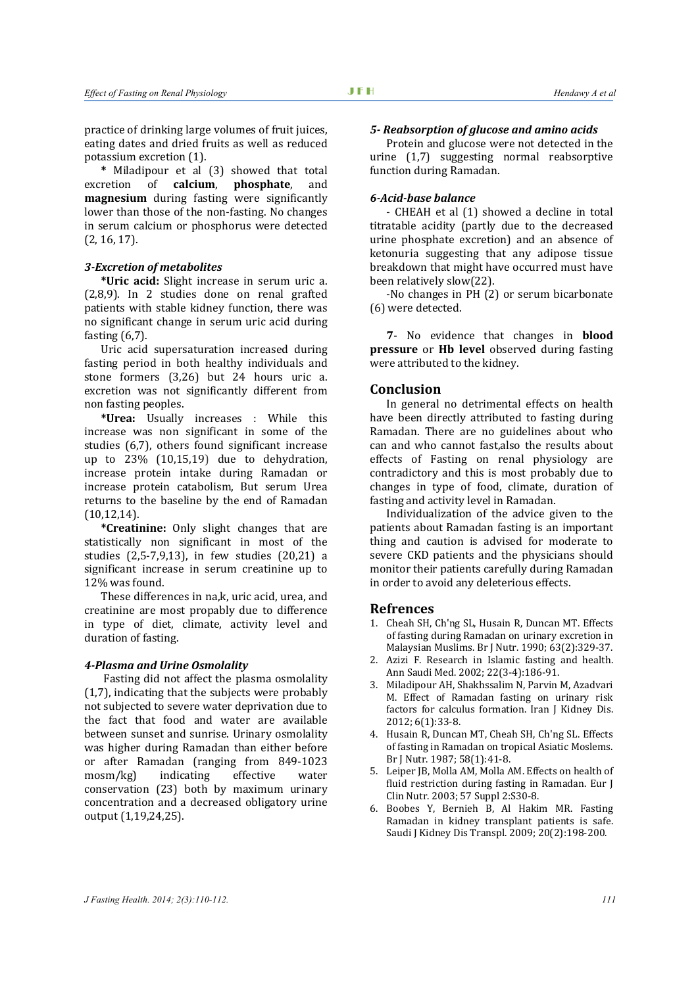practice of drinking large volumes of fruit juices, eating dates and dried fruits as well as reduced potassium excretion (1).

**\*** Miladipour et al (3) showed that total excretion of **calcium**, **phosphate**, and **magnesium** during fasting were significantly lower than those of the non-fasting. No changes in serum calcium or phosphorus were detected (2, 16, 17).

# *3‐Excretion of metabolites*

**\*Uric acid:** Slight increase in serum uric a. (2,8,9). In 2 studies done on renal grafted patients with stable kidney function, there was no significant change in serum uric acid during fasting (6,7).

Uric acid supersaturation increased during fasting period in both healthy individuals and stone formers (3,26) but 24 hours uric a. excretion was not significantly different from non fasting peoples.

**\*Urea:** Usually increases : While this increase was non significant in some of the studies (6,7), others found significant increase up to 23% (10,15,19) due to dehydration, increase protein intake during Ramadan or increase protein catabolism, But serum Urea returns to the baseline by the end of Ramadan (10,12,14).

**\*Creatinine:** Only slight changes that are statistically non significant in most of the studies (2,5-7,9,13), in few studies (20,21) a significant increase in serum creatinine up to 12% was found.

These differences in na,k, uric acid, urea, and creatinine are most propably due to difference in type of diet, climate, activity level and duration of fasting.

#### *4‐Plasma and Urine Osmolality*

 Fasting did not affect the plasma osmolality (1,7), indicating that the subjects were probably not subjected to severe water deprivation due to the fact that food and water are available between sunset and sunrise. Urinary osmolality was higher during Ramadan than either before or after Ramadan (ranging from 849-1023 mosm/kg) indicating effective water conservation (23) both by maximum urinary concentration and a decreased obligatory urine output (1,19,24,25).

#### *5‐ Reabsorption of glucose and amino acids*

Protein and glucose were not detected in the urine (1,7) suggesting normal reabsorptive function during Ramadan.

# *6‐Acid‐base balance*

- CHEAH et al (1) showed a decline in total titratable acidity (partly due to the decreased urine phosphate excretion) and an absence of ketonuria suggesting that any adipose tissue breakdown that might have occurred must have been relatively slow(22).

-No changes in PH (2) or serum bicarbonate (6) were detected.

**7**- No evidence that changes in **blood pressure** or **Hb level** observed during fasting were attributed to the kidney.

#### **Conclusion**

In general no detrimental effects on health have been directly attributed to fasting during Ramadan. There are no guidelines about who can and who cannot fast,also the results about effects of Fasting on renal physiology are contradictory and this is most probably due to changes in type of food, climate, duration of fasting and activity level in Ramadan.

Individualization of the advice given to the patients about Ramadan fasting is an important thing and caution is advised for moderate to severe CKD patients and the physicians should monitor their patients carefully during Ramadan in order to avoid any deleterious effects.

# **Refrences**

- 1. Cheah SH, Ch'ng SL, Husain R, Duncan MT. Effects of fasting during Ramadan on urinary excretion in Malaysian Muslims. Br J Nutr. 1990; 63(2):329-37.
- 2. Azizi F. Research in Islamic fasting and health. Ann Saudi Med. 2002; 22(3-4):186-91.
- 3. Miladipour AH, Shakhssalim N, Parvin M, Azadvari M. Effect of Ramadan fasting on urinary risk factors for calculus formation. Iran J Kidney Dis. 2012; 6(1):33-8.
- 4. Husain R, Duncan MT, Cheah SH, Ch'ng SL. Effects of fasting in Ramadan on tropical Asiatic Moslems. Br J Nutr. 1987; 58(1):41-8.
- 5. Leiper JB, Molla AM, Molla AM. Effects on health of fluid restriction during fasting in Ramadan. Eur J Clin Nutr. 2003; 57 Suppl 2:S30-8.
- 6. Boobes Y, Bernieh B, Al Hakim MR. Fasting Ramadan in kidney transplant patients is safe. Saudi J Kidney Dis Transpl. 2009; 20(2):198-200.